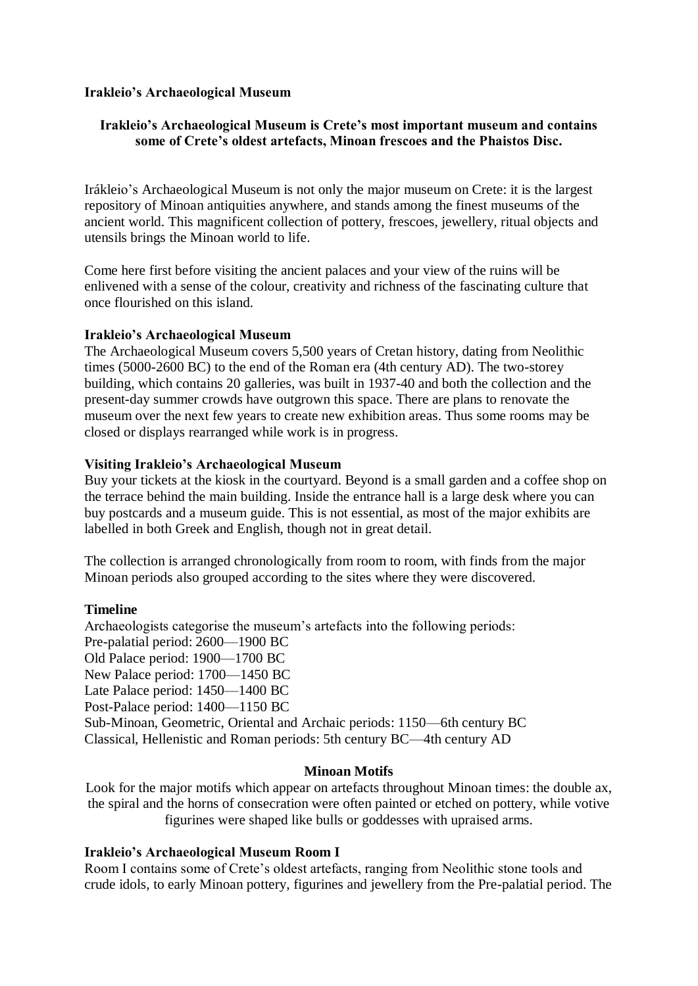# **Irakleio's Archaeological Museum**

# **Irakleio's Archaeological Museum is Crete's most important museum and contains some of Crete's oldest artefacts, Minoan frescoes and the Phaistos Disc.**

Irákleio's Archaeological Museum is not only the major museum on Crete: it is the largest repository of Minoan antiquities anywhere, and stands among the finest museums of the ancient world. This magnificent collection of pottery, frescoes, jewellery, ritual objects and utensils brings the Minoan world to life.

Come here first before visiting the ancient palaces and your view of the ruins will be enlivened with a sense of the colour, creativity and richness of the fascinating culture that once flourished on this island.

## **Irakleio's Archaeological Museum**

The Archaeological Museum covers 5,500 years of Cretan history, dating from Neolithic times (5000-2600 BC) to the end of the Roman era (4th century AD). The two-storey building, which contains 20 galleries, was built in 1937-40 and both the collection and the present-day summer crowds have outgrown this space. There are plans to renovate the museum over the next few years to create new exhibition areas. Thus some rooms may be closed or displays rearranged while work is in progress.

# **Visiting Irakleio's Archaeological Museum**

Buy your tickets at the kiosk in the courtyard. Beyond is a small garden and a coffee shop on the terrace behind the main building. Inside the entrance hall is a large desk where you can buy postcards and a museum guide. This is not essential, as most of the major exhibits are labelled in both Greek and English, though not in great detail.

The collection is arranged chronologically from room to room, with finds from the major Minoan periods also grouped according to the sites where they were discovered.

## **Timeline**

Archaeologists categorise the museum's artefacts into the following periods: Pre-palatial period: 2600—1900 BC Old Palace period: 1900—1700 BC New Palace period: 1700—1450 BC Late Palace period: 1450—1400 BC Post-Palace period: 1400—1150 BC Sub-Minoan, Geometric, Oriental and Archaic periods: 1150—6th century BC Classical, Hellenistic and Roman periods: 5th century BC—4th century AD

# **Minoan Motifs**

Look for the major motifs which appear on artefacts throughout Minoan times: the double ax, the spiral and the horns of consecration were often painted or etched on pottery, while votive figurines were shaped like bulls or goddesses with upraised arms.

# **Irakleio's Archaeological Museum Room I**

Room I contains some of Crete's oldest artefacts, ranging from Neolithic stone tools and crude idols, to early Minoan pottery, figurines and jewellery from the Pre-palatial period. The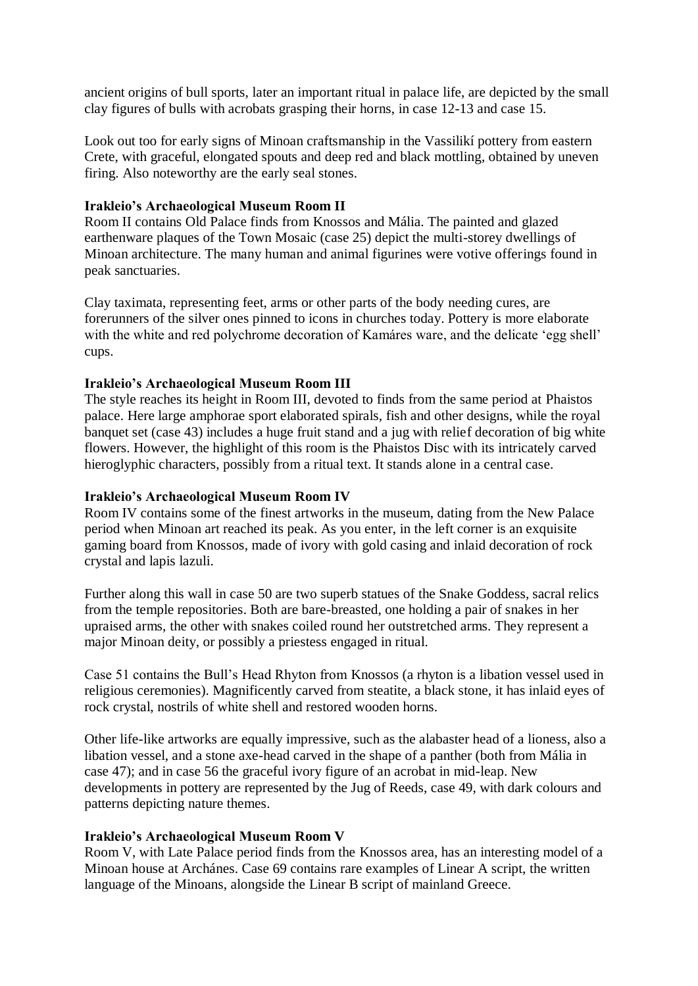ancient origins of bull sports, later an important ritual in palace life, are depicted by the small clay figures of bulls with acrobats grasping their horns, in case 12-13 and case 15.

Look out too for early signs of Minoan craftsmanship in the Vassilikí pottery from eastern Crete, with graceful, elongated spouts and deep red and black mottling, obtained by uneven firing. Also noteworthy are the early seal stones.

## **Irakleio's Archaeological Museum Room II**

Room II contains Old Palace finds from Knossos and Mália. The painted and glazed earthenware plaques of the Town Mosaic (case 25) depict the multi-storey dwellings of Minoan architecture. The many human and animal figurines were votive offerings found in peak sanctuaries.

Clay taximata, representing feet, arms or other parts of the body needing cures, are forerunners of the silver ones pinned to icons in churches today. Pottery is more elaborate with the white and red polychrome decoration of Kamáres ware, and the delicate 'egg shell' cups.

# **Irakleio's Archaeological Museum Room III**

The style reaches its height in Room III, devoted to finds from the same period at Phaistos palace. Here large amphorae sport elaborated spirals, fish and other designs, while the royal banquet set (case 43) includes a huge fruit stand and a jug with relief decoration of big white flowers. However, the highlight of this room is the Phaistos Disc with its intricately carved hieroglyphic characters, possibly from a ritual text. It stands alone in a central case.

## **Irakleio's Archaeological Museum Room IV**

Room IV contains some of the finest artworks in the museum, dating from the New Palace period when Minoan art reached its peak. As you enter, in the left corner is an exquisite gaming board from Knossos, made of ivory with gold casing and inlaid decoration of rock crystal and lapis lazuli.

Further along this wall in case 50 are two superb statues of the Snake Goddess, sacral relics from the temple repositories. Both are bare-breasted, one holding a pair of snakes in her upraised arms, the other with snakes coiled round her outstretched arms. They represent a major Minoan deity, or possibly a priestess engaged in ritual.

Case 51 contains the Bull's Head Rhyton from Knossos (a rhyton is a libation vessel used in religious ceremonies). Magnificently carved from steatite, a black stone, it has inlaid eyes of rock crystal, nostrils of white shell and restored wooden horns.

Other life-like artworks are equally impressive, such as the alabaster head of a lioness, also a libation vessel, and a stone axe-head carved in the shape of a panther (both from Mália in case 47); and in case 56 the graceful ivory figure of an acrobat in mid-leap. New developments in pottery are represented by the Jug of Reeds, case 49, with dark colours and patterns depicting nature themes.

## **Irakleio's Archaeological Museum Room V**

Room V, with Late Palace period finds from the Knossos area, has an interesting model of a Minoan house at Archánes. Case 69 contains rare examples of Linear A script, the written language of the Minoans, alongside the Linear B script of mainland Greece.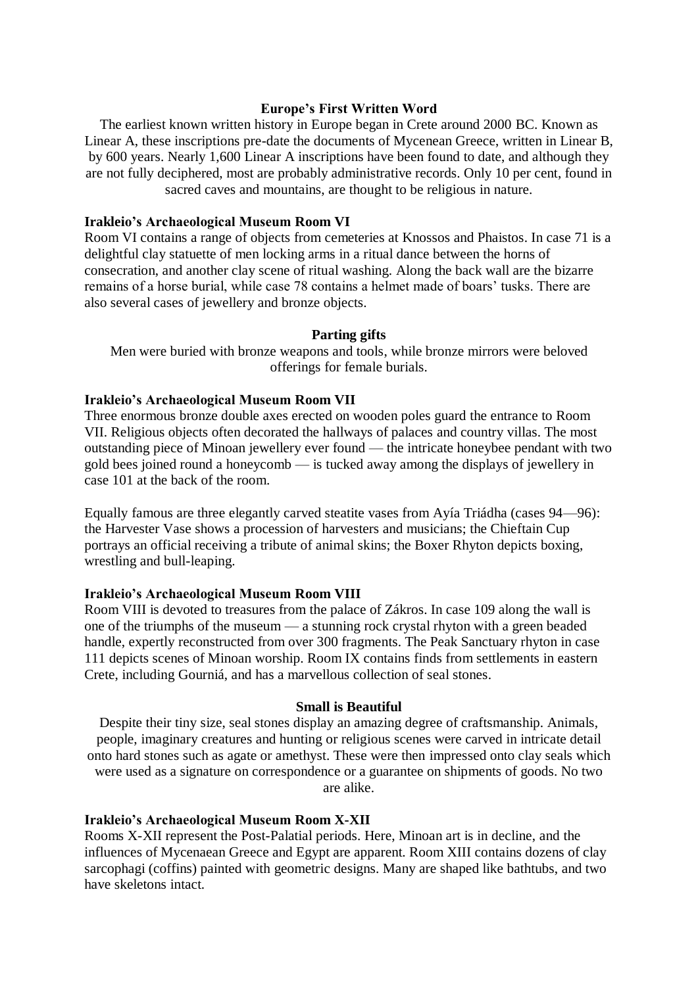#### **Europe's First Written Word**

The earliest known written history in Europe began in Crete around 2000 BC. Known as Linear A, these inscriptions pre-date the documents of Mycenean Greece, written in Linear B, by 600 years. Nearly 1,600 Linear A inscriptions have been found to date, and although they are not fully deciphered, most are probably administrative records. Only 10 per cent, found in sacred caves and mountains, are thought to be religious in nature.

#### **Irakleio's Archaeological Museum Room VI**

Room VI contains a range of objects from cemeteries at Knossos and Phaistos. In case 71 is a delightful clay statuette of men locking arms in a ritual dance between the horns of consecration, and another clay scene of ritual washing. Along the back wall are the bizarre remains of a horse burial, while case 78 contains a helmet made of boars' tusks. There are also several cases of jewellery and bronze objects.

#### **Parting gifts**

Men were buried with bronze weapons and tools, while bronze mirrors were beloved offerings for female burials.

#### **Irakleio's Archaeological Museum Room VII**

Three enormous bronze double axes erected on wooden poles guard the entrance to Room VII. Religious objects often decorated the hallways of palaces and country villas. The most outstanding piece of Minoan jewellery ever found — the intricate honeybee pendant with two gold bees joined round a honeycomb — is tucked away among the displays of jewellery in case 101 at the back of the room.

Equally famous are three elegantly carved steatite vases from Ayía Triádha (cases 94—96): the Harvester Vase shows a procession of harvesters and musicians; the Chieftain Cup portrays an official receiving a tribute of animal skins; the Boxer Rhyton depicts boxing, wrestling and bull-leaping.

#### **Irakleio's Archaeological Museum Room VIII**

Room VIII is devoted to treasures from the palace of Zákros. In case 109 along the wall is one of the triumphs of the museum — a stunning rock crystal rhyton with a green beaded handle, expertly reconstructed from over 300 fragments. The Peak Sanctuary rhyton in case 111 depicts scenes of Minoan worship. Room IX contains finds from settlements in eastern Crete, including Gourniá, and has a marvellous collection of seal stones.

#### **Small is Beautiful**

Despite their tiny size, seal stones display an amazing degree of craftsmanship. Animals, people, imaginary creatures and hunting or religious scenes were carved in intricate detail onto hard stones such as agate or amethyst. These were then impressed onto clay seals which were used as a signature on correspondence or a guarantee on shipments of goods. No two are alike.

#### **Irakleio's Archaeological Museum Room X-XII**

Rooms X-XII represent the Post-Palatial periods. Here, Minoan art is in decline, and the influences of Mycenaean Greece and Egypt are apparent. Room XIII contains dozens of clay sarcophagi (coffins) painted with geometric designs. Many are shaped like bathtubs, and two have skeletons intact.